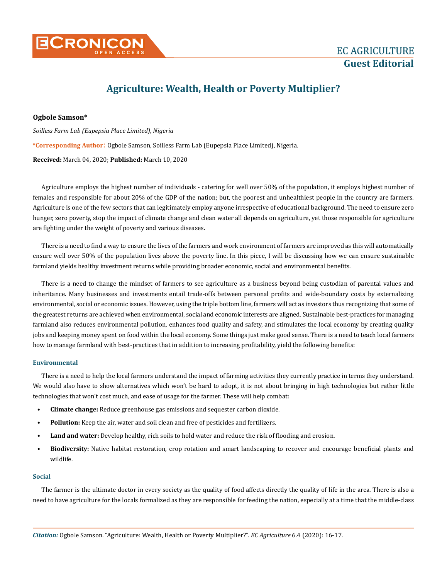

# **Agriculture: Wealth, Health or Poverty Multiplier?**

## **Ogbole Samson\***

*Soilless Farm Lab (Eupepsia Place Limited), Nigeria*  **\*Corresponding Author**: Ogbole Samson, Soilless Farm Lab (Eupepsia Place Limited), Nigeria. **Received:** March 04, 2020; **Published:** March 10, 2020

Agriculture employs the highest number of individuals - catering for well over 50% of the population, it employs highest number of females and responsible for about 20% of the GDP of the nation; but, the poorest and unhealthiest people in the country are farmers. Agriculture is one of the few sectors that can legitimately employ anyone irrespective of educational background. The need to ensure zero hunger, zero poverty, stop the impact of climate change and clean water all depends on agriculture, yet those responsible for agriculture are fighting under the weight of poverty and various diseases.

There is a need to find a way to ensure the lives of the farmers and work environment of farmers are improved as this will automatically ensure well over 50% of the population lives above the poverty line. In this piece, I will be discussing how we can ensure sustainable farmland yields healthy investment returns while providing broader economic, social and environmental benefits.

There is a need to change the mindset of farmers to see agriculture as a business beyond being custodian of parental values and inheritance. Many businesses and investments entail trade-offs between personal profits and wide-boundary costs by externalizing environmental, social or economic issues. However, using the triple bottom line, farmers will act as investors thus recognizing that some of the greatest returns are achieved when environmental, social and economic interests are aligned. Sustainable best-practices for managing farmland also reduces environmental pollution, enhances food quality and safety, and stimulates the local economy by creating quality jobs and keeping money spent on food within the local economy. Some things just make good sense. There is a need to teach local farmers how to manage farmland with best-practices that in addition to increasing profitability, yield the following benefits:

## **Environmental**

There is a need to help the local farmers understand the impact of farming activities they currently practice in terms they understand. We would also have to show alternatives which won't be hard to adopt, it is not about bringing in high technologies but rather little technologies that won't cost much, and ease of usage for the farmer. These will help combat:

- **• Climate change:** Reduce greenhouse gas emissions and sequester carbon dioxide.
- **• Pollution:** Keep the air, water and soil clean and free of pesticides and fertilizers.
- **• Land and water:** Develop healthy, rich soils to hold water and reduce the risk of flooding and erosion.
- **• Biodiversity:** Native habitat restoration, crop rotation and smart landscaping to recover and encourage beneficial plants and wildlife.

### **Social**

The farmer is the ultimate doctor in every society as the quality of food affects directly the quality of life in the area. There is also a need to have agriculture for the locals formalized as they are responsible for feeding the nation, especially at a time that the middle-class